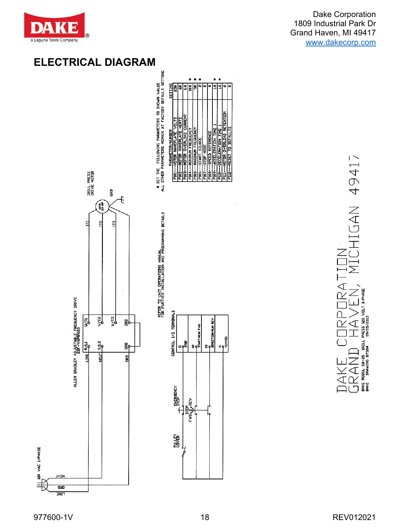

Dake Corporation 1809 Industrial Park Dr Grand Haven, MI 49417 [www.dakecorp.com](http://www.dakecorp.com/)

## **ELECTRICAL DIAGRAM**

DRILL PRESS<br>DRIVE MOTOR

E

 $\overline{a}$ 

ALLEN BRADLEY A<u>DJUSTABLE</u> FREQUENCY DRIVE

 $\overline{\vec{E}}$ 

 $\frac{1}{2}$ 





ERATION RATION

| ł<br>$\frac{1}{2}$ |   |                                                       |
|--------------------|---|-------------------------------------------------------|
| ししししし              |   | MODEL SB-25 DRILL PRESS 120 VOLT 1-PHAS<br>09/05/2013 |
|                    | I | <b>NG 8734</b><br>RAVIN<br>DAKE<br>DAKE               |

977600-1V 18 REV012021

IULN

פונה **TIME** 

120 VAC 1-PHASE

 $\equiv$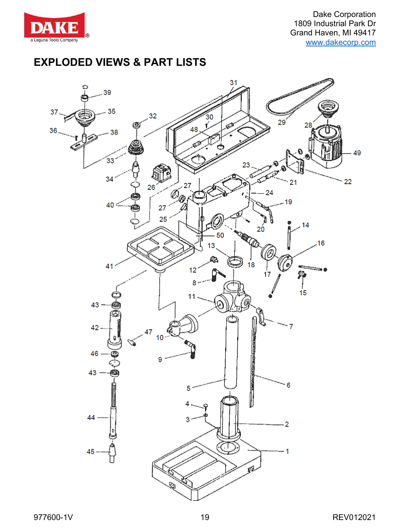

Dake Corporation 1809 Industrial Park Dr Grand Haven, MI 49417 [www.dakecorp.com](http://www.dakecorp.com/)

## **EXPLODED VIEWS & PART LISTS**

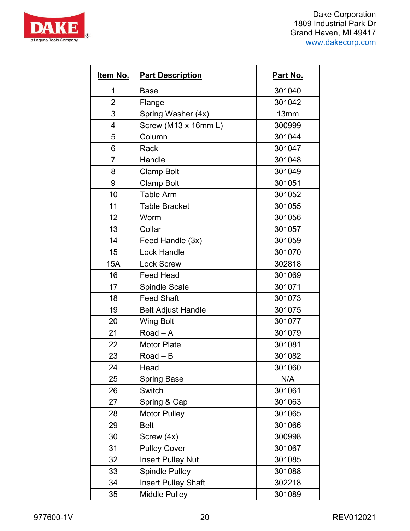



| Item No.       | <b>Part Description</b>    | Part No. |
|----------------|----------------------------|----------|
| 1              | <b>Base</b>                | 301040   |
| $\overline{2}$ | Flange                     | 301042   |
| 3              | Spring Washer (4x)         | 13mm     |
| 4              | Screw (M13 x 16mm L)       | 300999   |
| 5              | Column                     | 301044   |
| 6              | Rack                       | 301047   |
| 7              | Handle                     | 301048   |
| 8              | <b>Clamp Bolt</b>          | 301049   |
| 9              | <b>Clamp Bolt</b>          | 301051   |
| 10             | <b>Table Arm</b>           | 301052   |
| 11             | <b>Table Bracket</b>       | 301055   |
| 12             | Worm                       | 301056   |
| 13             | Collar                     | 301057   |
| 14             | Feed Handle (3x)           | 301059   |
| 15             | Lock Handle                | 301070   |
| 15A            | <b>Lock Screw</b>          | 302818   |
| 16             | <b>Feed Head</b>           | 301069   |
| 17             | <b>Spindle Scale</b>       | 301071   |
| 18             | <b>Feed Shaft</b>          | 301073   |
| 19             | <b>Belt Adjust Handle</b>  | 301075   |
| 20             | <b>Wing Bolt</b>           | 301077   |
| 21             | Road $-$ A                 | 301079   |
| 22             | <b>Motor Plate</b>         | 301081   |
| 23             | Road $ B$                  | 301082   |
| 24             | Head                       | 301060   |
| 25             | <b>Spring Base</b>         | N/A      |
| 26             | Switch                     | 301061   |
| 27             | Spring & Cap               | 301063   |
| 28             | <b>Motor Pulley</b>        | 301065   |
| 29             | <b>Belt</b>                | 301066   |
| 30             | Screw (4x)                 | 300998   |
| 31             | <b>Pulley Cover</b>        | 301067   |
| 32             | <b>Insert Pulley Nut</b>   | 301085   |
| 33             | <b>Spindle Pulley</b>      | 301088   |
| 34             | <b>Insert Pulley Shaft</b> | 302218   |
| 35             | <b>Middle Pulley</b>       | 301089   |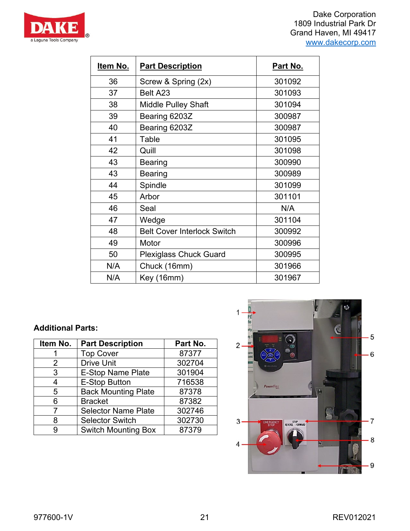



| <u>ltem No.</u> | <u>Part Description</u>            | <u>Part No.</u> |
|-----------------|------------------------------------|-----------------|
| 36              | Screw & Spring (2x)                | 301092          |
| 37              | Belt A23                           | 301093          |
| 38              | <b>Middle Pulley Shaft</b>         | 301094          |
| 39              | Bearing 6203Z                      | 300987          |
| 40              | Bearing 6203Z                      | 300987          |
| 41              | Table                              | 301095          |
| 42              | Quill                              | 301098          |
| 43              | Bearing                            | 300990          |
| 43              | Bearing                            | 300989          |
| 44              | Spindle                            | 301099          |
| 45              | Arbor                              | 301101          |
| 46              | Seal                               | N/A             |
| 47              | Wedge                              | 301104          |
| 48              | <b>Belt Cover Interlock Switch</b> | 300992          |
| 49              | Motor                              | 300996          |
| 50              | <b>Plexiglass Chuck Guard</b>      | 300995          |
| N/A             | Chuck (16mm)                       | 301966          |
| N/A             | Key (16mm)                         | 301967          |

### **Additional Parts:**

| Item No. | <b>Part Description</b>    | Part No. |
|----------|----------------------------|----------|
|          | <b>Top Cover</b>           | 87377    |
| 2        | <b>Drive Unit</b>          | 302704   |
| 3        | <b>E-Stop Name Plate</b>   | 301904   |
| 4        | <b>E-Stop Button</b>       | 716538   |
| 5        | <b>Back Mounting Plate</b> | 87378    |
| 6        | <b>Bracket</b>             | 87382    |
|          | <b>Selector Name Plate</b> | 302746   |
| 8        | <b>Selector Switch</b>     | 302730   |
|          | <b>Switch Mounting Box</b> | 87379    |